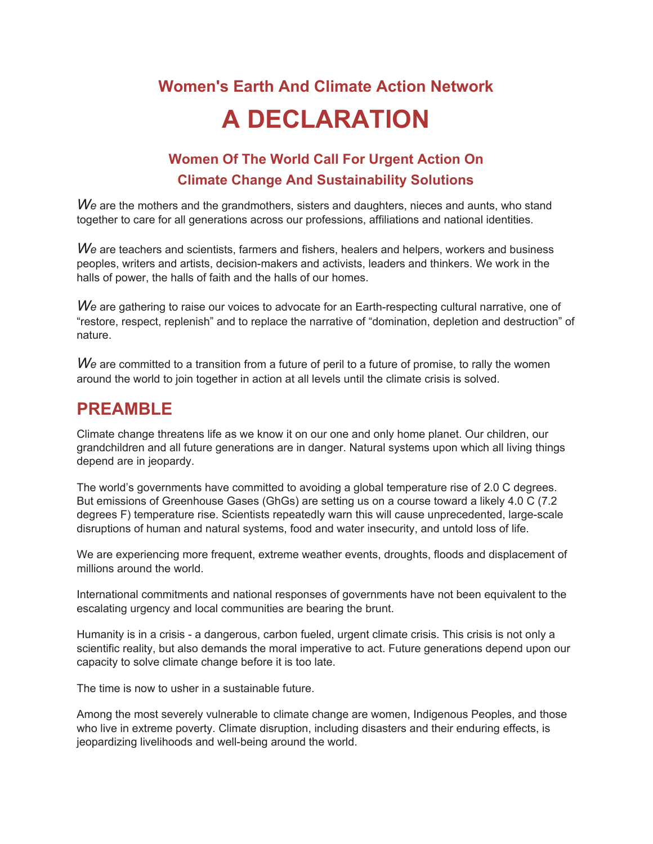## **Women's Earth And Climate Action Network A DECLARATION**

## **Women Of The World Call For Urgent Action On Climate Change And Sustainability Solutions**

We are the mothers and the grandmothers, sisters and daughters, nieces and aunts, who stand together to care for all generations across our professions, affiliations and national identities.

We are teachers and scientists, farmers and fishers, healers and helpers, workers and business peoples, writers and artists, decision-makers and activists, leaders and thinkers. We work in the halls of power, the halls of faith and the halls of our homes.

We are gathering to raise our voices to advocate for an Earth-respecting cultural narrative, one of "restore, respect, replenish" and to replace the narrative of "domination, depletion and destruction" of nature.

*We* are committed to a transition from a future of peril to a future of promise, to rally the women around the world to join together in action at all levels until the climate crisis is solved.

## **PREAMBLE**

Climate change threatens life as we know it on our one and only home planet. Our children, our grandchildren and all future generations are in danger. Natural systems upon which all living things depend are in jeopardy.

The world's governments have committed to avoiding a global temperature rise of 2.0 C degrees. But emissions of Greenhouse Gases (GhGs) are setting us on a course toward a likely 4.0 C (7.2 degrees F) temperature rise. Scientists repeatedly warn this will cause unprecedented, large-scale disruptions of human and natural systems, food and water insecurity, and untold loss of life.

We are experiencing more frequent, extreme weather events, droughts, floods and displacement of millions around the world.

International commitments and national responses of governments have not been equivalent to the escalating urgency and local communities are bearing the brunt.

Humanity is in a crisis - a dangerous, carbon fueled, urgent climate crisis. This crisis is not only a scientific reality, but also demands the moral imperative to act. Future generations depend upon our capacity to solve climate change before it is too late.

The time is now to usher in a sustainable future.

Among the most severely vulnerable to climate change are women, Indigenous Peoples, and those who live in extreme poverty. Climate disruption, including disasters and their enduring effects, is jeopardizing livelihoods and well-being around the world.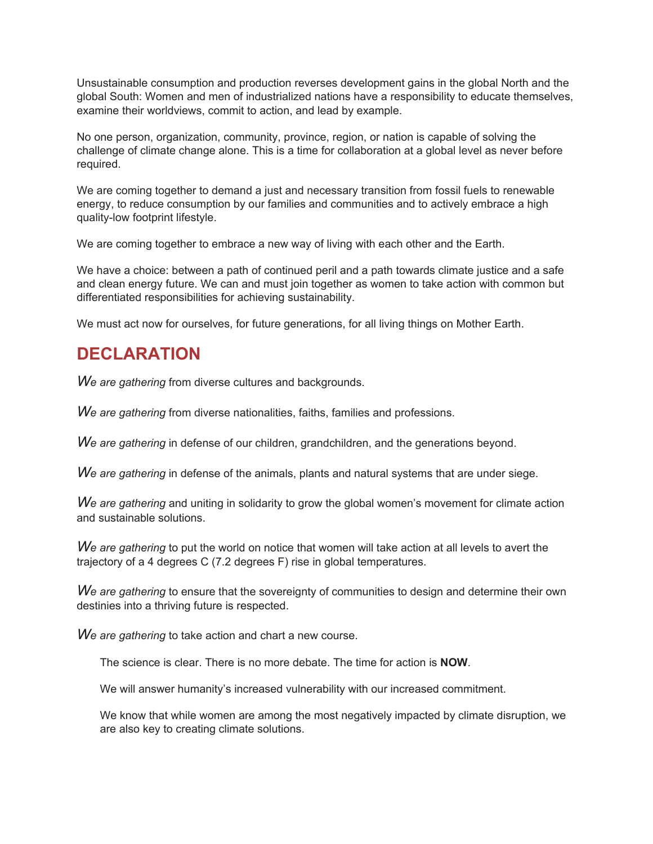Unsustainable consumption and production reverses development gains in the global North and the global South: Women and men of industrialized nations have a responsibility to educate themselves, examine their worldviews, commit to action, and lead by example.

No one person, organization, community, province, region, or nation is capable of solving the challenge of climate change alone. This is a time for collaboration at a global level as never before required.

We are coming together to demand a just and necessary transition from fossil fuels to renewable energy, to reduce consumption by our families and communities and to actively embrace a high quality-low footprint lifestyle.

We are coming together to embrace a new way of living with each other and the Earth.

We have a choice: between a path of continued peril and a path towards climate justice and a safe and clean energy future. We can and must join together as women to take action with common but differentiated responsibilities for achieving sustainability.

We must act now for ourselves, for future generations, for all living things on Mother Earth.

## **DECLARATION**

*We are gathering* from diverse cultures and backgrounds.

*We are gathering* from diverse nationalities, faiths, families and professions.

*We are gathering* in defense of our children, grandchildren, and the generations beyond.

*We are gathering* in defense of the animals, plants and natural systems that are under siege.

*We are gathering* and uniting in solidarity to grow the global women's movement for climate action and sustainable solutions.

*We are gathering* to put the world on notice that women will take action at all levels to avert the trajectory of a 4 degrees C (7.2 degrees F) rise in global temperatures.

*We are gathering* to ensure that the sovereignty of communities to design and determine their own destinies into a thriving future is respected.

*We are gathering* to take action and chart a new course.

The science is clear. There is no more debate. The time for action is **NOW**.

We will answer humanity's increased vulnerability with our increased commitment.

We know that while women are among the most negatively impacted by climate disruption, we are also key to creating climate solutions.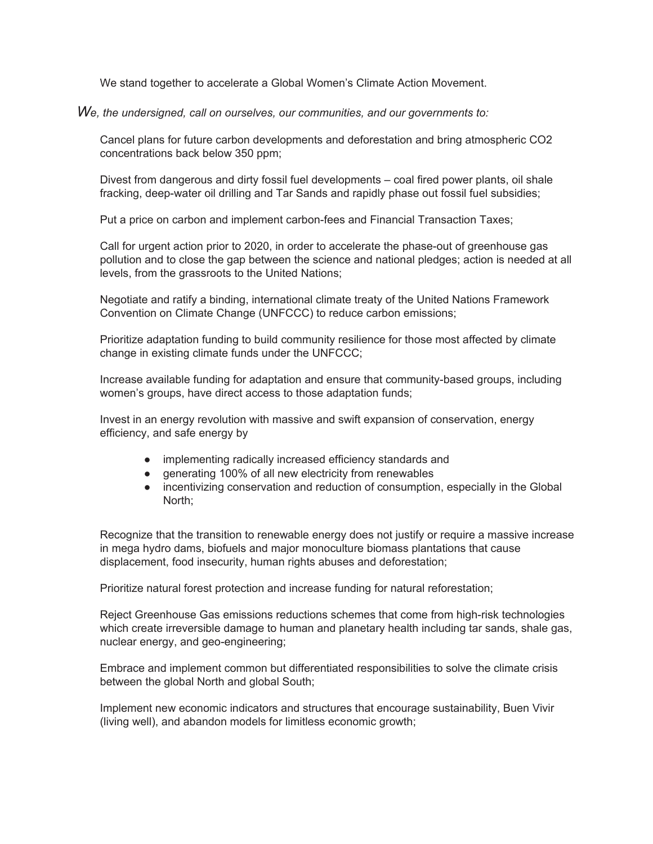We stand together to accelerate a Global Women's Climate Action Movement.

*We, the undersigned, call on ourselves, our communities, and our governments to:*

Cancel plans for future carbon developments and deforestation and bring atmospheric CO2 concentrations back below 350 ppm;

Divest from dangerous and dirty fossil fuel developments – coal fired power plants, oil shale fracking, deep-water oil drilling and Tar Sands and rapidly phase out fossil fuel subsidies;

Put a price on carbon and implement carbon-fees and Financial Transaction Taxes;

Call for urgent action prior to 2020, in order to accelerate the phase-out of greenhouse gas pollution and to close the gap between the science and national pledges; action is needed at all levels, from the grassroots to the United Nations;

Negotiate and ratify a binding, international climate treaty of the United Nations Framework Convention on Climate Change (UNFCCC) to reduce carbon emissions;

Prioritize adaptation funding to build community resilience for those most affected by climate change in existing climate funds under the UNFCCC;

Increase available funding for adaptation and ensure that community-based groups, including women's groups, have direct access to those adaptation funds;

Invest in an energy revolution with massive and swift expansion of conservation, energy efficiency, and safe energy by

- implementing radically increased efficiency standards and
- generating 100% of all new electricity from renewables
- incentivizing conservation and reduction of consumption, especially in the Global North;

Recognize that the transition to renewable energy does not justify or require a massive increase in mega hydro dams, biofuels and major monoculture biomass plantations that cause displacement, food insecurity, human rights abuses and deforestation;

Prioritize natural forest protection and increase funding for natural reforestation;

Reject Greenhouse Gas emissions reductions schemes that come from high-risk technologies which create irreversible damage to human and planetary health including tar sands, shale gas, nuclear energy, and geo-engineering;

Embrace and implement common but differentiated responsibilities to solve the climate crisis between the global North and global South;

Implement new economic indicators and structures that encourage sustainability, Buen Vivir (living well), and abandon models for limitless economic growth;